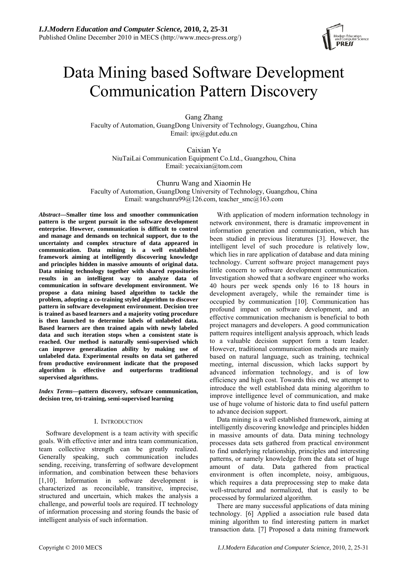

# Data Mining based Software Development Communication Pattern Discovery

Gang Zhang Faculty of Automation, GuangDong University of Technology, Guangzhou, China Email: ipx@gdut.edu.cn

Caixian Ye NiuTaiLai Communication Equipment Co.Ltd., Guangzhou, China Email: yecaixian@tom.com

Chunru Wang and Xiaomin He Faculty of Automation, GuangDong University of Technology, Guangzhou, China Email: wangchunru $99@126$ .com, teacher smc $@163$ .com

*Abstract***—Smaller time loss and smoother communication pattern is the urgent pursuit in the software development enterprise. However, communication is difficult to control and manage and demands on technical support, due to the uncertainty and complex structure of data appeared in communication. Data mining is a well established framework aiming at intelligently discovering knowledge and principles hidden in massive amounts of original data. Data mining technology together with shared repositories results in an intelligent way to analyze data of communication in software development environment. We propose a data mining based algorithm to tackle the problem, adopting a co-training styled algorithm to discover pattern in software development environment. Decision tree is trained as based learners and a majority voting procedure is then launched to determine labels of unlabeled data. Based learners are then trained again with newly labeled data and such iteration stops when a consistent state is reached. Our method is naturally semi-supervised which can improve generalization ability by making use of unlabeled data. Experimental results on data set gathered from productive environment indicate that the proposed algorithm is effective and outperforms traditional supervised algorithms.** 

*Index Terms***—pattern discovery, software communication, decision tree, tri-training, semi-supervised learning** 

## I. INTRODUCTION

Software development is a team activity with specific goals. With effective inter and intra team communication, team collective strength can be greatly realized. Generally speaking, such communication includes sending, receiving, transferring of software development information, and combination between these behaviors [1,10]. Information in software development is characterized as reconcilable, transitive, imprecise, structured and uncertain, which makes the analysis a challenge, and powerful tools are required. IT technology of information processing and storing founds the basic of intelligent analysis of such information.

With application of modern information technology in network environment, there is dramatic improvement in information generation and communication, which has been studied in previous literatures [3]. However, the intelligent level of such procedure is relatively low, which lies in rare application of database and data mining technology. Current software project management pays little concern to software development communication. Investigation showed that a software engineer who works 40 hours per week spends only 16 to 18 hours in development averagely, while the remainder time is occupied by communication [10]. Communication has profound impact on software development, and an effective communication mechanism is beneficial to both project managers and developers. A good communication pattern requires intelligent analysis approach, which leads to a valuable decision support form a team leader. However, traditional communication methods are mainly based on natural language, such as training, technical meeting, internal discussion, which lacks support by advanced information technology, and is of low efficiency and high cost. Towards this end, we attempt to introduce the well established data mining algorithm to improve intelligence level of communication, and make use of huge volume of historic data to find useful pattern to advance decision support.

Data mining is a well established framework, aiming at intelligently discovering knowledge and principles hidden in massive amounts of data. Data mining technology processes data sets gathered from practical environment to find underlying relationship, principles and interesting patterns, or namely knowledge from the data set of huge amount of data. Data gathered from practical environment is often incomplete, noisy, ambiguous, which requires a data preprocessing step to make data well-structured and normalized, that is easily to be processed by formularized algorithm.

There are many successful applications of data mining technology. [6] Applied a association rule based data mining algorithm to find interesting pattern in market transaction data. [7] Proposed a data mining framework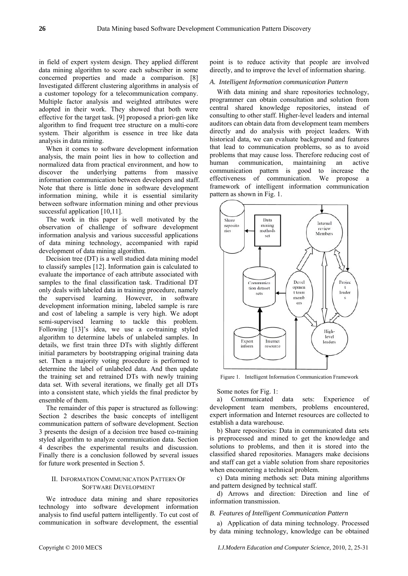in field of expert system design. They applied different data mining algorithm to score each subscriber in some concerned properties and made a comparison. [8] Investigated different clustering algorithms in analysis of a customer topology for a telecommunication company. Multiple factor analysis and weighted attributes were adopted in their work. They showed that both were effective for the target task. [9] proposed a priori-gen like algorithm to find frequent tree structure on a multi-core system. Their algorithm is essence in tree like data analysis in data mining.

When it comes to software development information analysis, the main point lies in how to collection and normalized data from practical environment, and how to discover the underlying patterns from massive information communication between developers and staff. Note that there is little done in software development information mining, while it is essential similarity between software information mining and other previous successful application [10,11].

The work in this paper is well motivated by the observation of challenge of software development information analysis and various successful applications of data mining technology, accompanied with rapid development of data mining algorithm.

Decision tree (DT) is a well studied data mining model to classify samples [12]. Information gain is calculated to evaluate the importance of each attribute associated with samples to the final classification task. Traditional DT only deals with labeled data in training procedure, namely the supervised learning. However, in software development information mining, labeled sample is rare and cost of labeling a sample is very high. We adopt semi-supervised learning to tackle this problem. Following [13]'s idea, we use a co-training styled algorithm to determine labels of unlabeled samples. In details, we first train three DTs with slightly different initial parameters by bootstrapping original training data set. Then a majority voting procedure is performed to determine the label of unlabeled data. And then update the training set and retrained DTs with newly training data set. With several iterations, we finally get all DTs into a consistent state, which yields the final predictor by ensemble of them.

The remainder of this paper is structured as following: Section 2 describes the basic concepts of intelligent communication pattern of software development. Section 3 presents the design of a decision tree based co-training styled algorithm to analyze communication data. Section 4 describes the experimental results and discussion. Finally there is a conclusion followed by several issues for future work presented in Section 5.

## II. INFORMATION COMMUNICATION PATTERN OF SOFTWARE DEVELOPMENT

We introduce data mining and share repositories technology into software development information analysis to find useful pattern intelligently. To cut cost of communication in software development, the essential

point is to reduce activity that people are involved directly, and to improve the level of information sharing.

#### *A. Intelligent Information communication Pattern*

With data mining and share repositories technology, programmer can obtain consultation and solution from central shared knowledge repositories, instead of consulting to other staff. Higher-level leaders and internal auditors can obtain data from development team members directly and do analysis with project leaders. With historical data, we can evaluate background and features that lead to communication problems, so as to avoid problems that may cause loss. Therefore reducing cost of human communication, maintaining an active communication pattern is good to increase the effectiveness of communication. We propose a framework of intelligent information communication pattern as shown in Fig. 1.



Figure 1. Intelligent Information Communication Framework

Some notes for Fig. 1:

a) Communicated data sets: Experience of development team members, problems encountered, expert information and Internet resources are collected to establish a data warehouse.

b) Share repositories: Data in communicated data sets is preprocessed and mined to get the knowledge and solutions to problems, and then it is stored into the classified shared repositories. Managers make decisions and staff can get a viable solution from share repositories when encountering a technical problem.

c) Data mining methods set: Data mining algorithms and pattern designed by technical staff.

d) Arrows and direction: Direction and line of information transmission.

# *B. Features of Intelligent Communication Pattern*

a) Application of data mining technology. Processed by data mining technology, knowledge can be obtained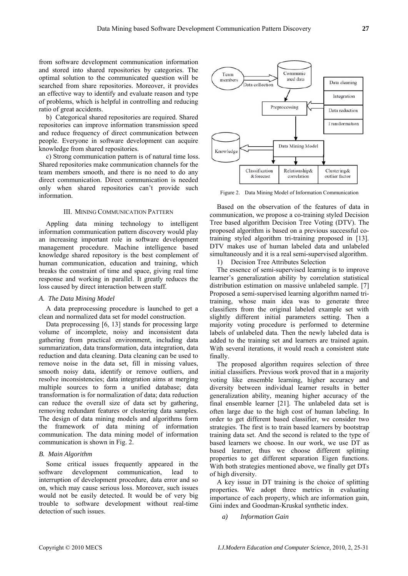from software development communication information and stored into shared repositories by categories. The optimal solution to the communicated question will be searched from share repositories. Moreover, it provides an effective way to identify and evaluate reason and type of problems, which is helpful in controlling and reducing ratio of great accidents.

b) Categorical shared repositories are required. Shared repositories can improve information transmission speed and reduce frequency of direct communication between people. Everyone in software development can acquire knowledge from shared repositories.

c) Strong communication pattern is of natural time loss. Shared repositories make communication channels for the team members smooth, and there is no need to do any direct communication. Direct communication is needed only when shared repositories can't provide such information.

## III. MINING COMMUNICATION PATTERN

Appling data mining technology to intelligent information communication pattern discovery would play an increasing important role in software development management procedure. Machine intelligence based knowledge shared repository is the best complement of human communication, education and training, which breaks the constraint of time and space, giving real time response and working in parallel. It greatly reduces the loss caused by direct interaction between staff.

#### *A. The Data Mining Model*

A data preprocessing procedure is launched to get a clean and normalized data set for model construction.

Data preprocessing [6, 13] stands for processing large volume of incomplete, noisy and inconsistent data gathering from practical environment, including data summarization, data transformation, data integration, data reduction and data cleaning. Data cleaning can be used to remove noise in the data set, fill in missing values, smooth noisy data, identify or remove outliers, and resolve inconsistencies; data integration aims at merging multiple sources to form a unified database; data transformation is for normalization of data; data reduction can reduce the overall size of data set by gathering, removing redundant features or clustering data samples. The design of data mining models and algorithms form the framework of data mining of information communication. The data mining model of information communication is shown in Fig. 2.

# *B. Main Algorithm*

Some critical issues frequently appeared in the software development communication, lead to interruption of development procedure, data error and so on, which may cause serious loss. Moreover, such issues would not be easily detected. It would be of very big trouble to software development without real-time detection of such issues.



Figure 2. Data Mining Model of Information Communication

Based on the observation of the features of data in communication, we propose a co-training styled Decision Tree based algorithm Decision Tree Voting (DTV). The proposed algorithm is based on a previous successful cotraining styled algorithm tri-training proposed in [13]. DTV makes use of human labeled data and unlabeled simultaneously and it is a real semi-supervised algorithm.

1) Decision Tree Attributes Selection

The essence of semi-supervised learning is to improve learner's generalization ability by correlation statistical distribution estimation on massive unlabeled sample. [7] Proposed a semi-supervised learning algorithm named tritraining, whose main idea was to generate three classifiers from the original labeled example set with slightly different initial parameters setting. Then a majority voting procedure is performed to determine labels of unlabeled data. Then the newly labeled data is added to the training set and learners are trained again. With several iterations, it would reach a consistent state finally.

The proposed algorithm requires selection of three initial classifiers. Previous work proved that in a majority voting like ensemble learning, higher accuracy and diversity between individual learner results in better generalization ability, meaning higher accuracy of the final ensemble learner [21]. The unlabeled data set is often large due to the high cost of human labeling. In order to get different based classifier, we consider two strategies. The first is to train based learners by bootstrap training data set. And the second is related to the type of based learners we choose. In our work, we use DT as based learner, thus we choose different splitting properties to get different separation Eigen functions. With both strategies mentioned above, we finally get DTs of high diversity.

A key issue in DT training is the choice of splitting properties. We adopt three metrics in evaluating importance of each property, which are information gain, Gini index and Goodman-Kruskal synthetic index.

*a) Information Gain*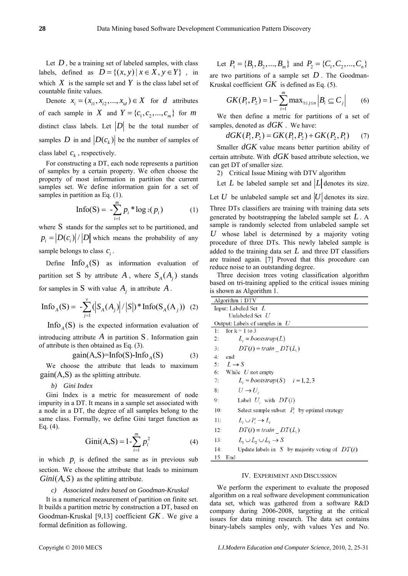Let  $D$ , be a training set of labeled samples, with class labels, defined as  $D = \{(x, y) | x \in X, y \in Y\}$ , in which  $X$  is the sample set and  $Y$  is the class label set of countable finite values.

Denote  $x_i = (x_{i1}, x_{i2}, \dots, x_{id}) \in X$  for *d* attributes of each sample in X and  $Y = \{c_1, c_2, ..., c_m\}$  for *m* distinct class labels. Let  $|D|$  be the total number of samples D in and  $\left|D(c_k)\right|$  be the number of samples of class label  $c_k$ , respectively.

For constructing a DT, each node represents a partition of samples by a certain property. We often choose the property of most information in partition the current samples set. We define information gain for a set of samples in partition as Eq. (1).

$$
\text{Info}(S) = -\sum_{i=1}^{m} p_i * \log_2(p_i) \tag{1}
$$

where S stands for the samples set to be partitioned, and  $p_i = |D(c_i)|/|D|$  which means the probability of any sample belongs to class  $c_i$ .

Define  $\text{Info}_A(S)$  as information evaluation of partition set S by attribute A, where  $S_A(A_j)$  stands for samples in S with value  $A_j$  in attribute  $A_j$ .

$$
\text{Info}_{A}(S) = -\sum_{j=1}^{v} (|S_{A}(A_{j})|/|S|) * \text{Info}(S_{A}(A_{j})) \quad (2)
$$

Info  $_A(S)$  is the expected information evaluation of introducing attribute  $A$  in partition  $S$ . Information gain of attribute is then obtained as Eq. (3).

$$
gain(A,S)=Info(S)-InfoA(S)
$$
 (3)

We choose the attribute that leads to maximum  $gain(A, S)$  as the splitting attribute.

## *b) Gini Index*

Gini Index is a metric for measurement of node impurity in a DT. It means in a sample set associated with a node in a DT, the degree of all samples belong to the same class. Formally, we define Gini target function as Eq. (4).

Gini(A,S) = 
$$
1 - \sum_{i=1}^{m} p_i^2
$$
 (4)

in which  $p_i$  is defined the same as in previous sub section. We choose the attribute that leads to minimum  $Gini(A, S)$  as the splitting attribute.

## *c) Associated index based on Goodman-Kruskal*

It is a numerical measurement of partition on finite set. It builds a partition metric by construction a DT, based on Goodman-Kruskal [9,13] coefficient *GK* . We give a formal definition as following.

Let 
$$
P_1 = \{B_1, B_2, ..., B_m\}
$$
 and  $P_2 = \{C_1, C_2, ..., C_n\}$ 

are two partitions of a sample set  $D$ . The Goodman-Kruskal coefficient  $GK$  is defined as Eq. (5).

$$
GK(P_1, P_2) = 1 - \sum_{i=1}^{m} \max_{1 \le j \le n} |B_i \subseteq C_j| \qquad (6)
$$

We then define a metric for partitions of a set of samples, denoted as  $dGK$ . We have:

$$
dGK(P_1, P_2) = GK(P_1, P_2) + GK(P_2, P_1) \tag{7}
$$

Smaller  $dGK$  value means better partition ability of certain attribute. With  $dGK$  based attribute selection, we can get DT of smaller size.

2) Critical Issue Mining with DTV algorithm

Let  $L$  be labeled sample set and  $|L|$  denotes its size.

Let  $U$  be unlabeled sample set and  $|U|$  denotes its size. Three DTs classifiers are training with training data sets generated by bootstrapping the labeled sample set *L* . A sample is randomly selected from unlabeled sample set  $U$  whose label is determined by a majority voting procedure of three DTs. This newly labeled sample is added to the training data set *L* and three DT classifiers are trained again. [7] Proved that this procedure can reduce noise to an outstanding degree.

Three decision trees voting classification algorithm based on tri-training applied to the critical issues mining is shown as Algorithm 1.

| Algorithm 1 DTV                                         |
|---------------------------------------------------------|
| Input: Labeled Set $L$                                  |
| Unlabeled Set $U$                                       |
| Output: Labels of samples in $U$                        |
| for $k = 1$ to 3<br>1:                                  |
| $L_i = bootstrap(L)$<br>2:                              |
| $DT(i) = train$ $DT(L_i)$<br>3:                         |
| 4:<br>end                                               |
| 5: $L \rightarrow S$                                    |
| 6: While $U$ not empty                                  |
| 7:<br>$L_i = bootstrap(S)$ $i=1,2,3$                    |
| $U \rightarrow U$<br>8:                                 |
| Label $U_i$ , with $DT(i)$<br>9:                        |
| Select sample subset $P_i$ by optimal strategy<br>10:   |
| $L_i \cup P_i \rightarrow L_i$<br>11:                   |
| $DT(i) = train$ $DT(L_i)$<br>12:                        |
| $L_1 \cup L_2 \cup L_3 \rightarrow S$<br>13:            |
| Update labels in S by majority voting of $DT(i)$<br>14: |
| 15:<br>End                                              |
|                                                         |

## IV. EXPERIMENT AND DISCUSSION

We perform the experiment to evaluate the proposed algorithm on a real software development communication data set, which was gathered from a software R&D company during 2006-2008, targeting at the critical issues for data mining research. The data set contains binary-labels samples only, with values Yes and No.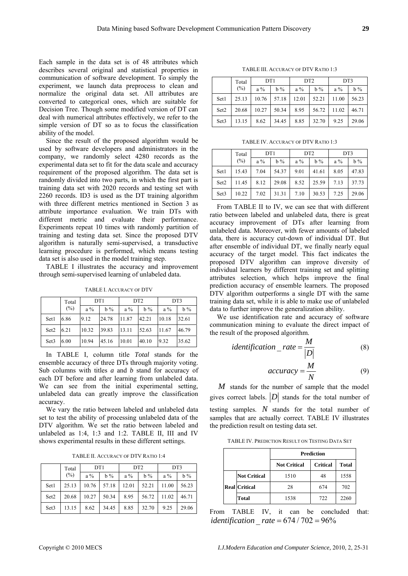Each sample in the data set is of 48 attributes which describes several original and statistical properties in communication of software development. To simply the experiment, we launch data preprocess to clean and normalize the original data set. All attributes are converted to categorical ones, which are suitable for Decision Tree. Though some modified version of DT can deal with numerical attributes effectively, we refer to the simple version of DT so as to focus the classification ability of the model.

Since the result of the proposed algorithm would be used by software developers and administrators in the company, we randomly select 4280 records as the experimental data set to fit for the data scale and accuracy requirement of the proposed algorithm. The data set is randomly divided into two parts, in which the first part is training data set with 2020 records and testing set with 2260 records. ID3 is used as the DT training algorithm with three different metrics mentioned in Section 3 as attribute importance evaluation. We train DTs with different metric and evaluate their performance. Experiments repeat 10 times with randomly partition of training and testing data set. Since the proposed DTV algorithm is naturally semi-supervised, a transductive learning procedure is performed, which means testing data set is also used in the model training step.

TABLE I illustrates the accuracy and improvement through semi-supervised learning of unlabeled data.

TABLE I. ACCURACY OF DTV

|                  | Total | DT <sub>1</sub> |       | DT <sub>2</sub> |       | DT3   |       |
|------------------|-------|-----------------|-------|-----------------|-------|-------|-------|
|                  | (%)   | $a\%$           | $b\%$ | $a\%$           | $b\%$ | $a\%$ | $b\%$ |
| Set1             | 6.86  | 9.12            | 24.78 | 11.87           | 42.21 | 10.18 | 32.61 |
| Set2             | 6.21  | 10.32           | 39.83 | 13.11           | 52.63 | 11.67 | 46.79 |
| Set <sub>3</sub> | 6.00  | 10.94           | 45.16 | 10.01           | 40.10 | 9.32  | 35.62 |

In TABLE I, column title *Total* stands for the ensemble accuracy of three DTs through majority voting. Sub columns with titles *a* and *b* stand for accuracy of each DT before and after learning from unlabeled data. We can see from the initial experimental setting, unlabeled data can greatly improve the classification accuracy.

We vary the ratio between labeled and unlabeled data set to test the ability of processing unlabeled data of the DTV algorithm. We set the ratio between labeled and unlabeled as 1:4, 1:3 and 1:2. TABLE II, III and IV shows experimental results in these different settings.

TABLE II. ACCURACY OF DTV RATIO 1:4

|                  | Total  | DT <sub>1</sub> |       | DT <sub>2</sub> |       | DT3   |       |
|------------------|--------|-----------------|-------|-----------------|-------|-------|-------|
|                  | $(\%)$ | $a\%$           | $b\%$ | $a\%$           | $b\%$ | $a\%$ | $b\%$ |
| Set1             | 25.13  | 10.76           | 57.18 | 12.01           | 52.21 | 11.00 | 56.23 |
| Set2             | 20.68  | 10.27           | 50.34 | 8.95            | 56.72 | 11.02 | 46.71 |
| Set <sub>3</sub> | 13.15  | 8.62            | 34.45 | 8.85            | 32.70 | 9.25  | 29.06 |

TABLE III. ACCURACY OF DTV RATIO 1:3

|                  | DT <sub>1</sub><br>Total |       | DT <sub>2</sub> |       | DT3   |       |       |
|------------------|--------------------------|-------|-----------------|-------|-------|-------|-------|
|                  | (%)                      | $a\%$ | $b\%$           | $a\%$ | $b\%$ | $a\%$ | $b\%$ |
| Set1             | 25.13                    | 10.76 | 57.18           | 12.01 | 52.21 | 11.00 | 56.23 |
| Set2             | 20.68                    | 10.27 | 50.34           | 8.95  | 56.72 | 11.02 | 46.71 |
| Set <sub>3</sub> | 13.15                    | 8.62  | 34.45           | 8.85  | 32.70 | 9.25  | 29.06 |

TABLE IV. ACCURACY OF DTV RATIO 1:3

|                  | Total  | DT <sub>1</sub> |       | DT <sub>2</sub> |       | DT3   |       |
|------------------|--------|-----------------|-------|-----------------|-------|-------|-------|
|                  | $(\%)$ | $a\%$           | $b\%$ | $a\%$           | $b\%$ | $a\%$ | $b\%$ |
| Set1             | 15.43  | 7.04            | 54.37 | 9.01            | 41.61 | 8.05  | 47.83 |
| Set2             | 11.45  | 8.12            | 29.08 | 8.52            | 25.59 | 7.13  | 37.73 |
| Set <sub>3</sub> | 10.22  | 7.02            | 31.31 | 7.10            | 30.53 | 7.25  | 29.06 |

From TABLE II to IV, we can see that with different ratio between labeled and unlabeled data, there is great accuracy improvement of DTs after learning from unlabeled data. Moreover, with fewer amounts of labeled data, there is accuracy cut-down of individual DT. But after ensemble of individual DT, we finally nearly equal accuracy of the target model. This fact indicates the proposed DTV algorithm can improve diversity of individual learners by different training set and splitting attributes selection, which helps improve the final prediction accuracy of ensemble learners. The proposed DTV algorithm outperforms a single DT with the same training data set, while it is able to make use of unlabeled data to further improve the generalization ability.

We use identification rate and accuracy of software communication mining to evaluate the direct impact of the result of the proposed algorithm.

*identification* 
$$
rate = \frac{M}{|D|}
$$
 (8)

$$
accuracy = \frac{M}{N} \tag{9}
$$

*M* stands for the number of sample that the model gives correct labels.  $|D|$  stands for the total number of testing samples. *N* stands for the total number of samples that are actually correct. TABLE IV illustrates the prediction result on testing data set.

TABLE IV. PREDICTION RESULT ON TESTING DATA SET

|                      | <b>Prediction</b>                               |     |      |  |  |  |  |
|----------------------|-------------------------------------------------|-----|------|--|--|--|--|
|                      | <b>Critical</b><br><b>Not Critical</b><br>Total |     |      |  |  |  |  |
| <b>Not Critical</b>  | 1510                                            | 48  | 1558 |  |  |  |  |
| <b>Real Critical</b> | 28                                              | 674 | 702  |  |  |  |  |
| <b>Total</b>         | 1538                                            | 722 | 2260 |  |  |  |  |

From TABLE IV, it can be concluded that: *identification*  $rate = 674 / 702 = 96%$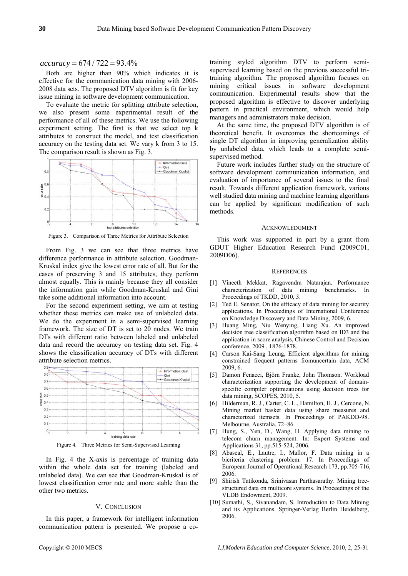$accuracy = 674 / 722 = 93.4\%$ 

Both are higher than 90% which indicates it is effective for the communication data mining with 2006- 2008 data sets. The proposed DTV algorithm is fit for key issue mining in software development communication.

To evaluate the metric for splitting attribute selection, we also present some experimental result of the performance of all of these metrics. We use the following experiment setting. The first is that we select top k attributes to construct the model, and test classification accuracy on the testing data set. We vary k from 3 to 15. The comparison result is shown as Fig. 3.



Figure 3. Comparison of Three Metrics for Attribute Selection

From Fig. 3 we can see that three metrics have difference performance in attribute selection. Goodman-Kruskal index give the lowest error rate of all. But for the cases of preserving 3 and 15 attributes, they perform almost equally. This is mainly because they all consider the information gain while Goodman-Kruskal and Gini take some additional information into account.

For the second experiment setting, we aim at testing whether these metrics can make use of unlabeled data. We do the experiment in a semi-supervised learning framework. The size of DT is set to 20 nodes. We train DTs with different ratio between labeled and unlabeled data and record the accuracy on testing data set. Fig. 4 shows the classification accuracy of DTs with different attribute selection metrics.



Figure 4. Three Metrics for Semi-Supervised Learning

In Fig. 4 the X-axis is percentage of training data within the whole data set for training (labeled and unlabeled data). We can see that Goodman-Kruskal is of lowest classification error rate and more stable than the other two metrics.

# V. CONCLUSION

In this paper, a framework for intelligent information communication pattern is presented. We propose a cotraining styled algorithm DTV to perform semisupervised learning based on the previous successful tritraining algorithm. The proposed algorithm focuses on mining critical issues in software development communication. Experimental results show that the proposed algorithm is effective to discover underlying pattern in practical environment, which would help managers and administrators make decision.

At the same time, the proposed DTV algorithm is of theoretical benefit. It overcomes the shortcomings of single DT algorithm in improving generalization ability by unlabeled data, which leads to a complete semisupervised method.

Future work includes further study on the structure of software development communication information, and evaluation of importance of several issues to the final result. Towards different application framework, various well studied data mining and machine learning algorithms can be applied by significant modification of such methods.

## ACKNOWLEDGMENT

This work was supported in part by a grant from GDUT Higher Education Research Fund (2009C01, 2009D06).

#### **REFERENCES**

- [1] Vineeth Mekkat, Ragavendra Natarajan. Performance characterization of data mining benchmarks. Proceedings of TKDD, 2010, 3.
- [2] Ted E. Senator, On the efficacy of data mining for security applications. In Proceedings of International Conference on Knowledge Discovery and Data Mining, 2009, 6.
- [3] Huang Ming, Niu Wenying, Liang Xu. An improved decision tree classification algorithm based on ID3 and the application in score analysis, Chinese Control and Decision conference, 2009 , 1876-1878.
- [4] Carson Kai-Sang Leung, Efficient algorithms for mining constrained frequent patterns fromuncertain data, ACM 2009, 6.
- [5] Damon Fenacci, Björn Franke, John Thomson. Workload characterization supporting the development of domainspecific compiler optimizations using decision trees for data mining, SCOPES, 2010, 5.
- [6] Hilderman, R. J., Carter, C. L., Hamilton, H. J., Cercone, N. Mining market basket data using share measures and characterized itemsets. In Proceedings of PAKDD-98. Melbourne, Australia. 72–86.
- [7] Hung, S., Yen, D., Wang, H. Applying data mining to telecom churn management. In: Expert Systems and Applications 31, pp.515-524, 2006.
- [8] Abascal, E., Lautre, I., Mallor, F. Data mining in a bicriteria clustering problem. 17. In Proceedings of European Journal of Operational Research 173, pp.705-716, 2006.
- [9] Shirish Tatikonda, Srinivasan Parthasarathy. Mining treestructured data on multicore systems. In Proceedings of the VLDB Endowment, 2009.
- [10] Sumathi, S., Sivanandam, S. Introduction to Data Mining and its Applications. Springer-Verlag Berlin Heidelberg, 2006.